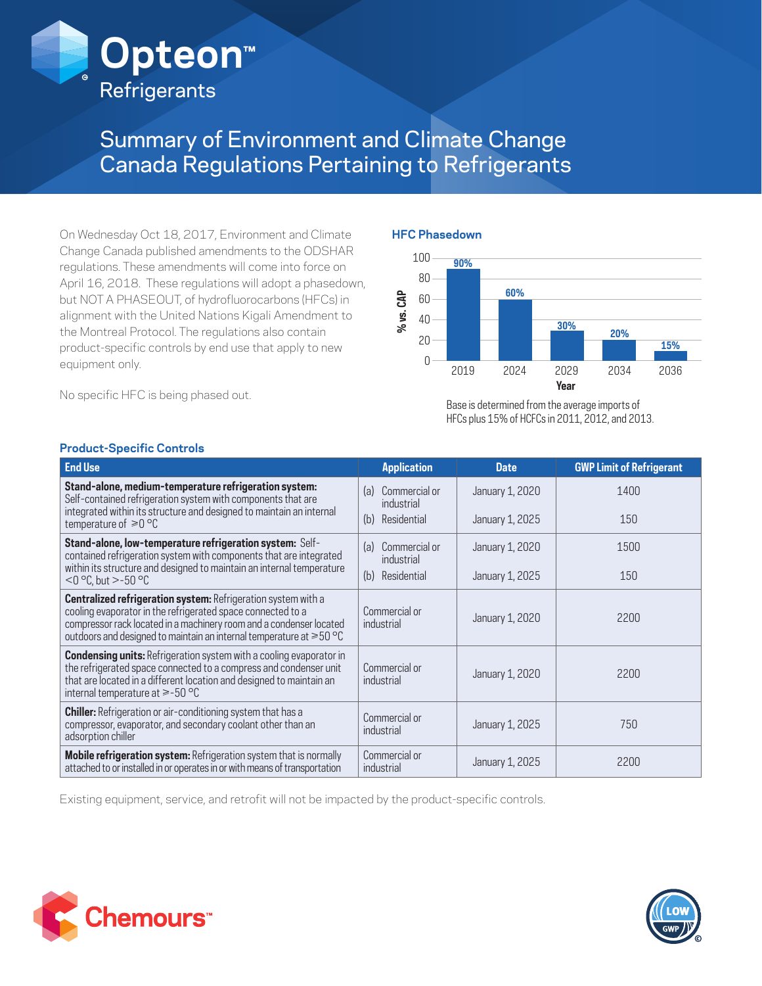

# Summary of Environment and Climate Change Canada Regulations Pertaining to Refrigerants

On Wednesday Oct 18, 2017, Environment and Climate Change Canada published amendments to the ODSHAR regulations. These amendments will come into force on April 16, 2018. These regulations will adopt a phasedown, but NOT A PHASEOUT, of hydrofluorocarbons (HFCs) in alignment with the United Nations Kigali Amendment to the Montreal Protocol. The regulations also contain product-specific controls by end use that apply to new equipment only.

No specific HFC is being phased out.

### **HFC Phasedown**



Base is determined from the average imports of HFCs plus 15% of HCFCs in 2011, 2012, and 2013.

| <b>End Use</b>                                                                                                                                                                                                                                                                          | <b>Application</b>                 | <b>Date</b>     | <b>GWP Limit of Refrigerant</b> |
|-----------------------------------------------------------------------------------------------------------------------------------------------------------------------------------------------------------------------------------------------------------------------------------------|------------------------------------|-----------------|---------------------------------|
| Stand-alone, medium-temperature refrigeration system:<br>Self-contained refrigeration system with components that are<br>integrated within its structure and designed to maintain an internal                                                                                           | Commercial or<br>(a)<br>industrial | January 1, 2020 | 1400                            |
| temperature of $\geq 0$ °C                                                                                                                                                                                                                                                              | Residential<br>(b)                 | January 1, 2025 | 150                             |
| Stand-alone, low-temperature refrigeration system: Self-<br>contained refrigeration system with components that are integrated                                                                                                                                                          | (a)<br>Commercial or<br>industrial | January 1, 2020 | 1500                            |
| within its structure and designed to maintain an internal temperature<br>$<$ 0 °C, but > -50 °C                                                                                                                                                                                         | (b)<br>Residential                 | January 1, 2025 | 150                             |
| <b>Centralized refrigeration system: Refrigeration system with a</b><br>cooling evaporator in the refrigerated space connected to a<br>compressor rack located in a machinery room and a condenser located<br>outdoors and designed to maintain an internal temperature at $\geq 50$ °C | Commercial or<br>industrial        | January 1, 2020 | 2200                            |
| <b>Condensing units:</b> Refrigeration system with a cooling evaporator in<br>the refrigerated space connected to a compress and condenser unit<br>that are located in a different location and designed to maintain an<br>internal temperature at $\ge$ -50 °C                         | Commercial or<br>industrial        | January 1, 2020 | 2200                            |
| <b>Chiller:</b> Refrigeration or air-conditioning system that has a<br>compressor, evaporator, and secondary coolant other than an<br>adsorption chiller                                                                                                                                | Commercial or<br>industrial        | January 1, 2025 | 750                             |
| Mobile refrigeration system: Refrigeration system that is normally<br>attached to or installed in or operates in or with means of transportation                                                                                                                                        | Commercial or<br>industrial        | January 1, 2025 | 2200                            |

## **Product-Specific Controls**

Existing equipment, service, and retrofit will not be impacted by the product-specific controls.